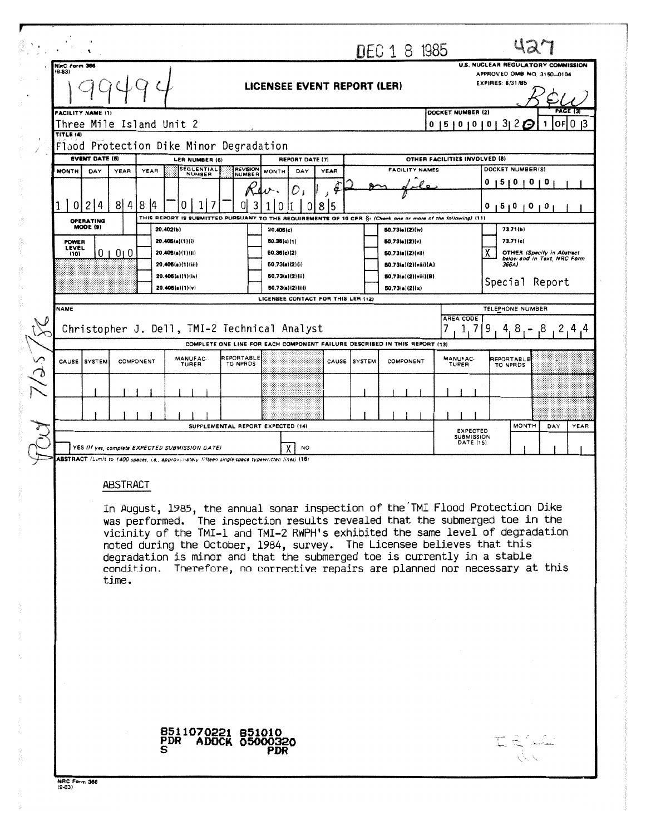|   |                                                                                                                                                                         |                                                                  |                            |                      |                                                                                                                                                     |                                                             |                                                                                                                                          |        | DEC 1 8 1985                             |                                                                            |                                                                                             |                                                                           |                               |     |      |  |  |  |
|---|-------------------------------------------------------------------------------------------------------------------------------------------------------------------------|------------------------------------------------------------------|----------------------------|----------------------|-----------------------------------------------------------------------------------------------------------------------------------------------------|-------------------------------------------------------------|------------------------------------------------------------------------------------------------------------------------------------------|--------|------------------------------------------|----------------------------------------------------------------------------|---------------------------------------------------------------------------------------------|---------------------------------------------------------------------------|-------------------------------|-----|------|--|--|--|
|   | Noc Form 366<br>$(9-83)$                                                                                                                                                |                                                                  |                            |                      |                                                                                                                                                     |                                                             | LICENSEE EVENT REPORT (LER)                                                                                                              |        |                                          |                                                                            | U.S. NUCLEAR REGULATORY COMMISSION<br>APPROVED OMB NO. 3150-0104<br><b>EXPIRES: 8/31/85</b> |                                                                           |                               |     |      |  |  |  |
|   | PAGE<br>DOCKET NUMBER (2)<br><b>FACILITY NAME (1)</b><br>0151010101320<br>Three Mile Island Unit 2<br>OFIO<br>1<br>TITLE (4)<br>Flood Protection Dike Minor Degradation |                                                                  |                            |                      |                                                                                                                                                     |                                                             |                                                                                                                                          |        |                                          |                                                                            |                                                                                             | ı3                                                                        |                               |     |      |  |  |  |
|   | <b>EVENT DATE (5)</b><br>OTHER FACILITIES INVOLVED (8)<br>LER NUMBER (6)<br><b>REPORT DATE (7)</b>                                                                      |                                                                  |                            |                      |                                                                                                                                                     |                                                             |                                                                                                                                          |        |                                          |                                                                            |                                                                                             |                                                                           |                               |     |      |  |  |  |
|   | <b>SEQUENTIAL</b><br><b>MONTH</b><br>DAY<br>YEAR<br>YEAR                                                                                                                |                                                                  |                            |                      | REVISION                                                                                                                                            | <b>FACILITY NAMES</b><br><b>YEAR</b><br><b>MONTH</b><br>DAY |                                                                                                                                          |        |                                          |                                                                            |                                                                                             | DOCKET NUMBER(S)                                                          |                               |     |      |  |  |  |
|   |                                                                                                                                                                         |                                                                  |                            |                      | <b>NUMBER</b>                                                                                                                                       | <b>NUMBEF</b>                                               |                                                                                                                                          |        |                                          |                                                                            |                                                                                             | 0<br>5                                                                    | $\mathbf{o}$<br>$\mathbf{o}$  |     |      |  |  |  |
|   | 0                                                                                                                                                                       | 2 4                                                              | 8 <sup>1</sup><br>$4 \mid$ | $\overline{8}$<br>14 | O                                                                                                                                                   |                                                             |                                                                                                                                          | 8<br>5 |                                          |                                                                            |                                                                                             | 0                                                                         | 5101010                       |     |      |  |  |  |
|   |                                                                                                                                                                         | OPERATING<br>MODE (9)                                            |                            |                      | 20.402(b)                                                                                                                                           |                                                             | THIS REPORT IS SUBMITTED PURSUANT TO THE REQUIREMENTS OF 10 CFR §: (Check one or more of the following) (11)<br>20.405(c)<br>50.36(c)(1) |        |                                          | 50.73(a)(2)(iv)                                                            |                                                                                             |                                                                           | 73.71(b)                      |     |      |  |  |  |
|   | POWER                                                                                                                                                                   |                                                                  |                            | 20.405(a)(1)(i)      |                                                                                                                                                     | 50.73(a)(2)(v)                                              |                                                                                                                                          |        |                                          |                                                                            |                                                                                             | 73.71(c)                                                                  |                               |     |      |  |  |  |
|   |                                                                                                                                                                         | LEVEL<br>0100<br>20.405(a)(1)(ii)<br>(10)                        |                            |                      |                                                                                                                                                     | 50.36(c)(2)<br>50.73(a)(2)(i)                               |                                                                                                                                          |        | 50.73(a)(2)(vii)<br>50.73(a)(2)(viii)(A) |                                                                            | χ                                                                                           | <b>OTHER (Specify in Abstract</b><br>below and in Text. NRC Form<br>366A) |                               |     |      |  |  |  |
|   |                                                                                                                                                                         | 20,406(a)(1)(iii)<br>20.405(a)(1)(iv)                            |                            |                      |                                                                                                                                                     | 50.73(a)(2)(ii)                                             |                                                                                                                                          |        | 50.73(a)(2)(viii)(B)                     | Special Report                                                             |                                                                                             |                                                                           |                               |     |      |  |  |  |
|   |                                                                                                                                                                         | 50.73(a)(2)(x)<br>20.405(a)(1)(v)<br>50.73(a)(2)(iii)            |                            |                      |                                                                                                                                                     |                                                             |                                                                                                                                          |        |                                          |                                                                            |                                                                                             |                                                                           |                               |     |      |  |  |  |
|   |                                                                                                                                                                         |                                                                  |                            |                      |                                                                                                                                                     |                                                             | LICENSEE CONTACT FOR THIS LER (12)                                                                                                       |        |                                          |                                                                            |                                                                                             |                                                                           |                               |     |      |  |  |  |
|   | <b>NAME</b>                                                                                                                                                             |                                                                  |                            |                      |                                                                                                                                                     |                                                             |                                                                                                                                          |        |                                          |                                                                            | TELEPHONE NUMBER                                                                            |                                                                           |                               |     |      |  |  |  |
|   |                                                                                                                                                                         | <b>AREA CODE</b><br>Christopher J. Dell, TMI-2 Technical Analyst |                            |                      |                                                                                                                                                     |                                                             |                                                                                                                                          | 1.7    | 9<br>8<br>8.<br>2.4.4                    |                                                                            |                                                                                             |                                                                           |                               |     |      |  |  |  |
|   |                                                                                                                                                                         |                                                                  |                            |                      |                                                                                                                                                     |                                                             |                                                                                                                                          |        |                                          | COMPLETE ONE LINE FOR EACH COMPONENT FAILURE DESCRIBED IN THIS REPORT (13) |                                                                                             |                                                                           |                               |     |      |  |  |  |
| ∽ |                                                                                                                                                                         | CAUSE <i>SYSTEM</i>                                              |                            | COMPONENT            | MANUFAC-<br><b>TURER</b>                                                                                                                            | REPORTABLE<br>TO NPRDS                                      |                                                                                                                                          |        | CAUSE SYSTEM                             | COMPONENT                                                                  | MANUFAC-<br>TURER                                                                           |                                                                           | REPORTABLE<br><b>TO NPRDS</b> |     |      |  |  |  |
|   |                                                                                                                                                                         |                                                                  |                            |                      |                                                                                                                                                     |                                                             |                                                                                                                                          |        |                                          |                                                                            |                                                                                             |                                                                           |                               |     |      |  |  |  |
|   |                                                                                                                                                                         |                                                                  |                            |                      |                                                                                                                                                     |                                                             |                                                                                                                                          |        |                                          |                                                                            |                                                                                             |                                                                           |                               |     |      |  |  |  |
|   |                                                                                                                                                                         | SUPPLEMENTAL REPORT EXPECTED (14)                                |                            |                      |                                                                                                                                                     |                                                             |                                                                                                                                          |        |                                          |                                                                            |                                                                                             |                                                                           | <b>MONTH</b>                  | DAY | YEAR |  |  |  |
|   |                                                                                                                                                                         |                                                                  |                            |                      | YES (If yes, complete EXPECTED SUBMISSION DATE)<br>ABSTRACT (Limit to 1400 spaces, i.e., approximately fifteen single-space typewritten lines) (16) |                                                             | <b>NO</b>                                                                                                                                |        |                                          |                                                                            | <b>EXPECTED</b><br><b>SUBMISSION</b><br><b>DATE (15)</b>                                    |                                                                           |                               |     |      |  |  |  |

## ABSTRACT

医防水 计语言 医呼吸性 通行的 長期 复杂

In August, 1985, the annual sonar inspection of the TMI Flood Protection Dike was performed. The inspection results revealed that the submerged toe in the vicinity of the TMI-1 and TMI-2 RWPH's exhibited the same level of degradation noted during the October, 1984, survey. The Licensee believes that this degradation is minor and that the submerged toe is currently in a stable condition. Therefore, no corrective repairs are planned nor necessary at this time.

> $\Gamma \in \mathbb{R}^n$ رنز بر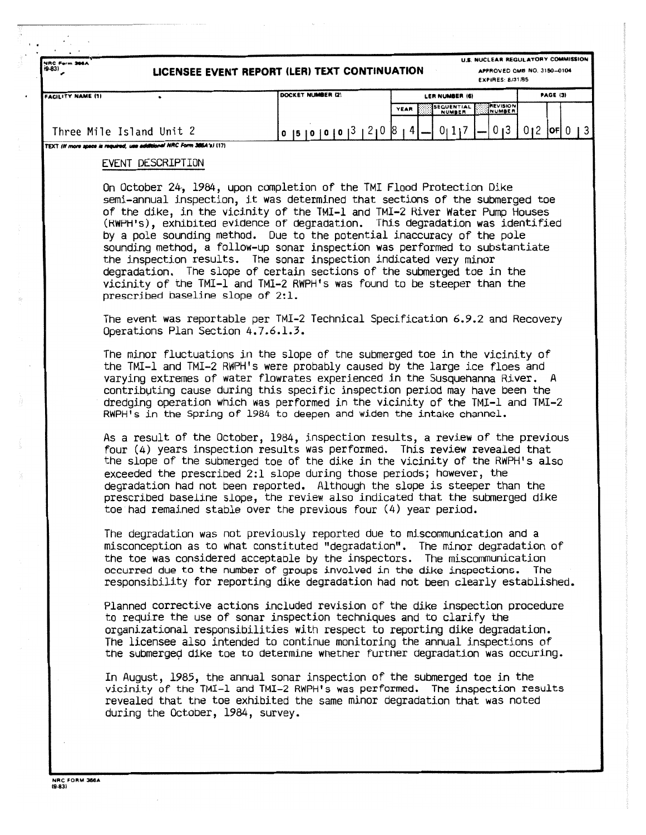**U.S . NUCLEAR REGULATORY COMMISSIO N LICENSEE EVENT REPORT (LER) TEXT CONTINUATION APPROVED OMB NO. 3150-0104 EXPIRES' 813118 5**

| FACILITY NAME (1)                                                     | DOCKET NUMBER (2) | LER NUMBER (6)                                                 | PAGE (3) |  |  |  |  |  |  |
|-----------------------------------------------------------------------|-------------------|----------------------------------------------------------------|----------|--|--|--|--|--|--|
|                                                                       |                   | <b>JREVISION</b><br><b>SEQUENTIAL</b><br><b>YEAR</b><br>NUMBER |          |  |  |  |  |  |  |
| Three Mile Island Unit 2                                              | 0 <sub>15</sub>   |                                                                |          |  |  |  |  |  |  |
| TEXT (If more apace is required, use additional NRC Form 386A's) (17) |                   |                                                                |          |  |  |  |  |  |  |

## EVENT DESCRIPTION

On October 24, 1984, upon completion of the TMI Flood Protection Dike semi-annual inspection, it was determined that sections of the submerged toe of the dike, in the vicinity of the TMI-1 and TMI-2 River Water Pump Houses (RWPH's), exhibited evidence of degradation. This degradation was identified by a pole sounding method. Due to the potential inaccuracy of the pole sounding method, a follow-up sonar inspection was performed to substantiate the inspection results. The sonar inspection indicated very minor degradation. The slope of certain sections of the submerged toe in the vicinity of the TMI-1 and TMI-2 RWPH's was found to be steeper than the prescribed baseline slope of 2:1.

The event was reportable per TMI-2 Technical Specification 6 .9 .2 and Recovery Operations Plan Section 4.7.6.1.3.

The minor fluctuations in the slope of the submerged toe in the vicinity of the TMI-1 and TMI-2 RWPH's were probably caused by the large ice floes and varying extremes of water flowrates experienced in the Susquehanna River. A contributing cause during this specific inspection period may have been the dredging operation which was performed in the vicinity of the TMI-1 and TMI-2 RwPH's in the Spring of 1984 to deepen and widen the intake channel .

As a result of the October, 1984, inspection results, a review of the previous four (4) years inspection results was performed. This review revealed that the slope of the submerged toe of the dike in the vicinity of the RWPH's also exceeded the prescribed 2:1 slope during those periods; however, the degradation had not been reported. Although the slope is steeper than the prescribed baseline slope, the review also indicated that the submerged dike toe had remained stable over the previous four (4) year period .

The degradation was not previously reported due to miscommunication and a misconception as to what constituted "degradation". The minor degradation of the toe was considered acceptable by the inspectors. The miscommunication occurred due to the number of groups involved in the dike inspections . The responsibility for reporting dike degradation had not been clearly established .

Planned corrective actions included revision of the dike inspection procedure to require the use of sonar inspection techniques and to clarify the organizational responsibilities with respect to reporting dike degradation . The licensee also intended to continue monitoring the annual inspections of the submerged dike toe to determine whether further degradation was occuring .

In August, 1985, the annual sonar inspection of the submerged toe in the vicinity of the TMI-1 and TMI-2 RWPH's was performed. The inspection results revealed that the toe exhibited the same minor degradation that was noted during the October, 1984, survey .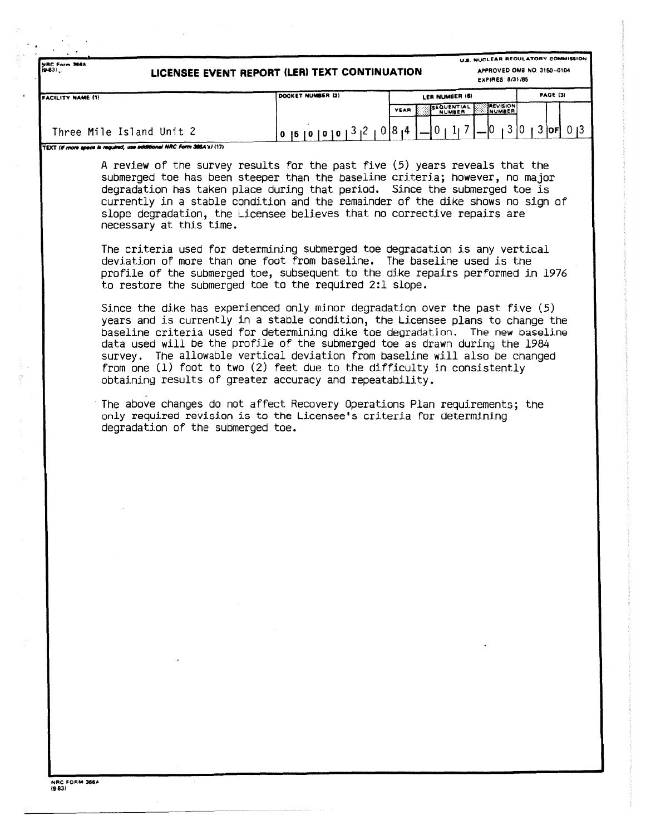**U.S. NUCLEAR REGULATORY COMMISSI APPROVED OMB NO . 3150-0104 LICENSEE EVENT REPORT (LER) TEXT CONTINUATION EXPIRES . 8/31/85** FACILITY NAME (1) LER NUMBER (2) LER NUMBER (8) **PAGE (3) SEGUE NT IA L REVISIO N**

|                                                                       |                                                                             | <b>YEAR</b> | <b>NUMBER</b> | <b>EXPREVISION</b> |  |  |
|-----------------------------------------------------------------------|-----------------------------------------------------------------------------|-------------|---------------|--------------------|--|--|
| Three Mile Island Unit 2                                              | $0 15 10 10 10 1^3 1^2 1^0 1^8 1^4 1 - 0 1 1 7 1 - 0 1 3 0 1 3 0 1 3 0 1 3$ |             |               |                    |  |  |
| TEXT (If more space is required, use additional NRC Form 366A's) (17) |                                                                             |             |               |                    |  |  |

A review of the survey results for the past five (5) years reveals that the submerged toe has been steeper than the baseline criteria; however, no major degradation has taken place during that period. Since the submerged toe is currently in a stable condition and the remainder of the dike shows no sign of slope degradation, the Licensee believes that no corrective repairs are necessary at this time .

The criteria used for determining submerged toe degradation is any vertical deviation of more than one foot from baseline. The baseline used is the profile of the submerged toe, subsequent to the dike repairs performed in 1976 to restore the submerged toe to the required 2:1 slope.

Since the dike has experienced only minor degradation over the past five (5) years and is currently in a stable condition, the Licensee plans to change the baseline criteria used for determining dike toe degradation . The new baseline data used will be the profile of the submerged toe as drawn during the 1984 survey . The allowable vertical deviation from baseline will also be changed from one  $(1)$  foot to two  $(2)$  feet due to the difficulty in consistently obtaining results of greater accuracy and repeatability .

The above changes do not affect Recovery Operations Plan requirements; the only required revision is to the Licensee's criteria for determining degradation of the submerged toe.